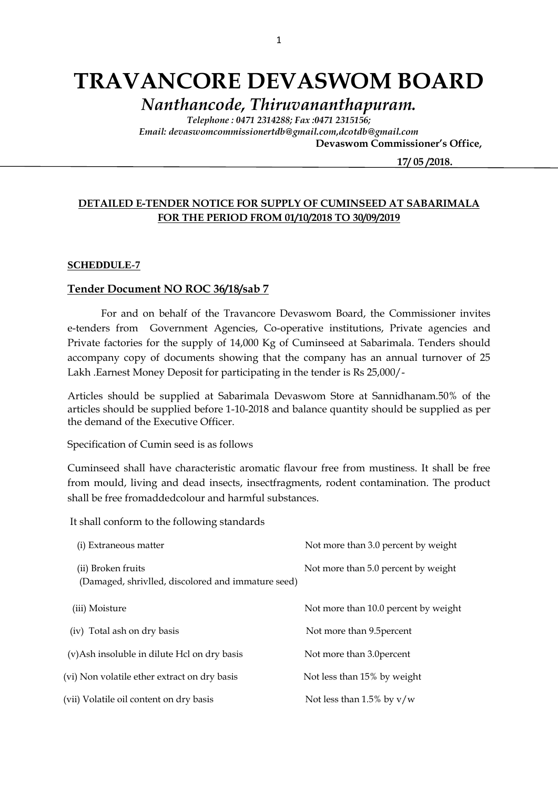# **TRAVANCORE DEVASWOM BOARD**

*Nanthancode, Thiruvananthapuram.*

*Telephone : 0471 2314288; Fax :0471 2315156; Email: devaswomcommissionertdb@gmail.com,dcotdb@gmail.com*

 **Devaswom Commissioner's Office,**

 **17/ 05 /2018.**

#### **DETAILED E-TENDER NOTICE FOR SUPPLY OF CUMINSEED AT SABARIMALA FOR THE PERIOD FROM 01/10/2018 TO 30/09/2019**

#### **SCHEDDULE-7**

#### **Tender Document NO ROC 36/18/sab 7**

For and on behalf of the Travancore Devaswom Board, the Commissioner invites e-tenders from Government Agencies, Co-operative institutions, Private agencies and Private factories for the supply of 14,000 Kg of Cuminseed at Sabarimala. Tenders should accompany copy of documents showing that the company has an annual turnover of 25 Lakh .Earnest Money Deposit for participating in the tender is Rs 25,000/-

Articles should be supplied at Sabarimala Devaswom Store at Sannidhanam.50% of the articles should be supplied before 1-10-2018 and balance quantity should be supplied as per the demand of the Executive Officer.

Specification of Cumin seed is as follows

Cuminseed shall have characteristic aromatic flavour free from mustiness. It shall be free from mould, living and dead insects, insectfragments, rodent contamination. The product shall be free fromaddedcolour and harmful substances.

It shall conform to the following standards

| (i) Extraneous matter                                                    | Not more than 3.0 percent by weight  |
|--------------------------------------------------------------------------|--------------------------------------|
| (ii) Broken fruits<br>(Damaged, shrivlled, discolored and immature seed) | Not more than 5.0 percent by weight  |
| (iii) Moisture                                                           | Not more than 10.0 percent by weight |
| (iv) Total ash on dry basis                                              | Not more than 9.5 percent            |
| (v) Ash insoluble in dilute Hcl on dry basis                             | Not more than 3.0 percent            |
| (vi) Non volatile ether extract on dry basis                             | Not less than 15% by weight          |
| (vii) Volatile oil content on dry basis                                  | Not less than 1.5% by $v/w$          |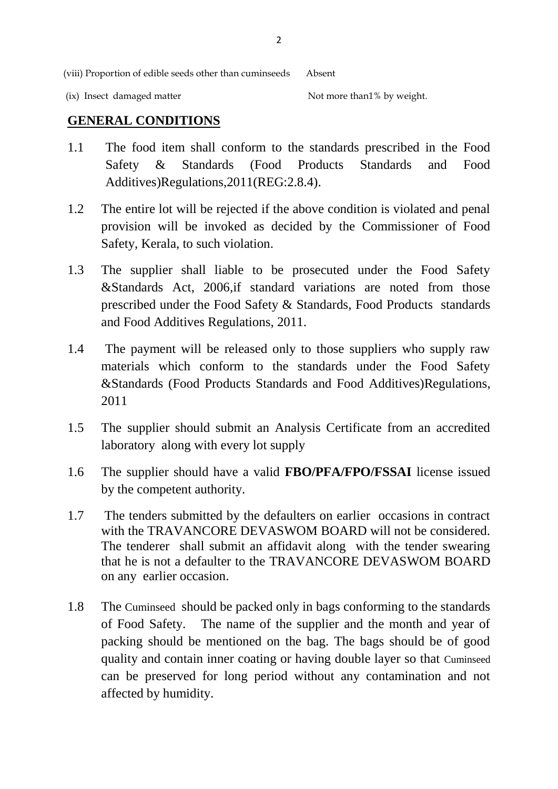(viii) Proportion of edible seeds other than cuminseeds Absent

(ix) Insect damaged matter  $\blacksquare$  Not more than  $\mathcal V$  by weight.

### **GENERAL CONDITIONS**

- 1.1 The food item shall conform to the standards prescribed in the Food Safety & Standards (Food Products Standards and Food Additives)Regulations,2011(REG:2.8.4).
- 1.2 The entire lot will be rejected if the above condition is violated and penal provision will be invoked as decided by the Commissioner of Food Safety, Kerala, to such violation.
- 1.3 The supplier shall liable to be prosecuted under the Food Safety &Standards Act, 2006,if standard variations are noted from those prescribed under the Food Safety & Standards, Food Products standards and Food Additives Regulations, 2011.
- 1.4 The payment will be released only to those suppliers who supply raw materials which conform to the standards under the Food Safety &Standards (Food Products Standards and Food Additives)Regulations, 2011
- 1.5 The supplier should submit an Analysis Certificate from an accredited laboratory along with every lot supply
- 1.6 The supplier should have a valid **FBO/PFA/FPO/FSSAI** license issued by the competent authority.
- 1.7 The tenders submitted by the defaulters on earlier occasions in contract with the TRAVANCORE DEVASWOM BOARD will not be considered. The tenderer shall submit an affidavit along with the tender swearing that he is not a defaulter to the TRAVANCORE DEVASWOM BOARD on any earlier occasion.
- 1.8 The Cuminseed should be packed only in bags conforming to the standards of Food Safety. The name of the supplier and the month and year of packing should be mentioned on the bag. The bags should be of good quality and contain inner coating or having double layer so that Cuminseed can be preserved for long period without any contamination and not affected by humidity.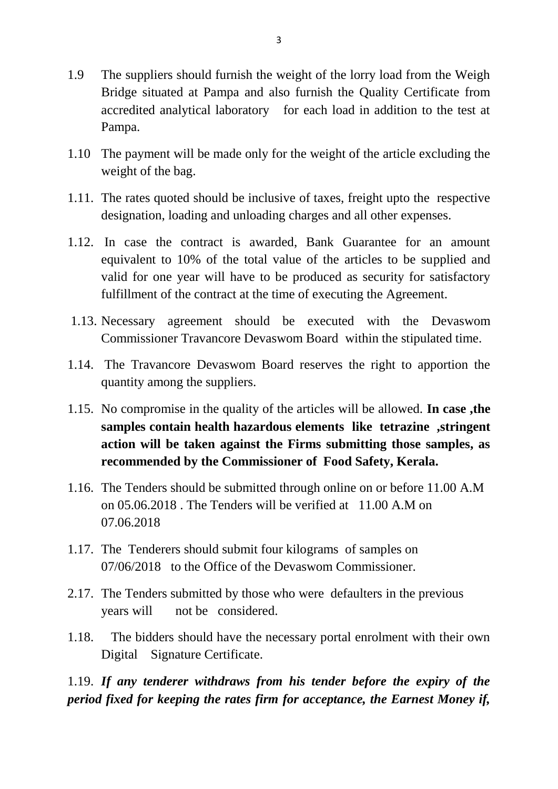- 1.9 The suppliers should furnish the weight of the lorry load from the Weigh Bridge situated at Pampa and also furnish the Quality Certificate from accredited analytical laboratory for each load in addition to the test at Pampa.
- 1.10 The payment will be made only for the weight of the article excluding the weight of the bag.
- 1.11. The rates quoted should be inclusive of taxes, freight upto the respective designation, loading and unloading charges and all other expenses.
- 1.12. In case the contract is awarded, Bank Guarantee for an amount equivalent to 10% of the total value of the articles to be supplied and valid for one year will have to be produced as security for satisfactory fulfillment of the contract at the time of executing the Agreement.
- 1.13. Necessary agreement should be executed with the Devaswom Commissioner Travancore Devaswom Board within the stipulated time.
- 1.14. The Travancore Devaswom Board reserves the right to apportion the quantity among the suppliers.
- 1.15. No compromise in the quality of the articles will be allowed. **In case ,the samples contain health hazardous elements like tetrazine ,stringent action will be taken against the Firms submitting those samples, as recommended by the Commissioner of Food Safety, Kerala.**
- 1.16. The Tenders should be submitted through online on or before 11.00 A.M on 05.06.2018 . The Tenders will be verified at 11.00 A.M on 07.06.2018
- 1.17. The Tenderers should submit four kilograms of samples on 07/06/2018 to the Office of the Devaswom Commissioner.
- 2.17. The Tenders submitted by those who were defaulters in the previous years will not be considered.
- 1.18. The bidders should have the necessary portal enrolment with their own Digital Signature Certificate.

1.19. *If any tenderer withdraws from his tender before the expiry of the period fixed for keeping the rates firm for acceptance, the Earnest Money if,*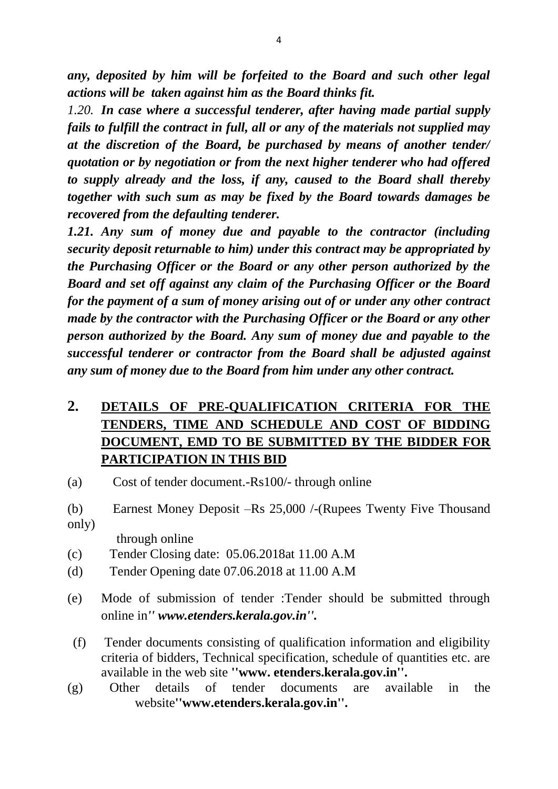*any, deposited by him will be forfeited to the Board and such other legal actions will be taken against him as the Board thinks fit.*

*1.20. In case where a successful tenderer, after having made partial supply fails to fulfill the contract in full, all or any of the materials not supplied may at the discretion of the Board, be purchased by means of another tender/ quotation or by negotiation or from the next higher tenderer who had offered to supply already and the loss, if any, caused to the Board shall thereby together with such sum as may be fixed by the Board towards damages be recovered from the defaulting tenderer.*

*1.21. Any sum of money due and payable to the contractor (including security deposit returnable to him) under this contract may be appropriated by the Purchasing Officer or the Board or any other person authorized by the Board and set off against any claim of the Purchasing Officer or the Board for the payment of a sum of money arising out of or under any other contract made by the contractor with the Purchasing Officer or the Board or any other person authorized by the Board. Any sum of money due and payable to the successful tenderer or contractor from the Board shall be adjusted against any sum of money due to the Board from him under any other contract.*

## **2. DETAILS OF PRE-QUALIFICATION CRITERIA FOR THE TENDERS, TIME AND SCHEDULE AND COST OF BIDDING DOCUMENT, EMD TO BE SUBMITTED BY THE BIDDER FOR PARTICIPATION IN THIS BID**

- (a) Cost of tender document.-Rs100/- through online
- (b) Earnest Money Deposit –Rs 25,000 /-(Rupees Twenty Five Thousand only)

through online

- (c) Tender Closing date: 05.06.2018at 11.00 A.M
- (d) Tender Opening date 07.06.2018 at 11.00 A.M
- (e) Mode of submission of tender :Tender should be submitted through online in*'' www.etenders.kerala.gov.in''.*
- (f) Tender documents consisting of qualification information and eligibility criteria of bidders, Technical specification, schedule of quantities etc. are available in the web site **''www. etenders.kerala.gov.in''.**
- (g) Other details of tender documents are available in the website**''www.etenders.kerala.gov.in''.**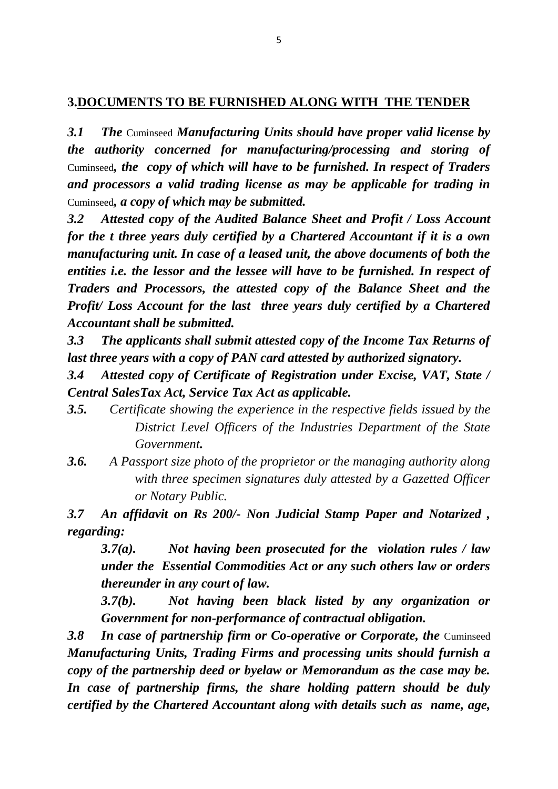## **3.DOCUMENTS TO BE FURNISHED ALONG WITH THE TENDER**

*3.1 The* Cuminseed *Manufacturing Units should have proper valid license by the authority concerned for manufacturing/processing and storing of*  Cuminseed*, the copy of which will have to be furnished. In respect of Traders and processors a valid trading license as may be applicable for trading in*  Cuminseed*, a copy of which may be submitted.*

*3.2 Attested copy of the Audited Balance Sheet and Profit / Loss Account for the t three years duly certified by a Chartered Accountant if it is a own manufacturing unit. In case of a leased unit, the above documents of both the entities i.e. the lessor and the lessee will have to be furnished. In respect of Traders and Processors, the attested copy of the Balance Sheet and the Profit/ Loss Account for the last three years duly certified by a Chartered Accountant shall be submitted.*

*3.3 The applicants shall submit attested copy of the Income Tax Returns of last three years with a copy of PAN card attested by authorized signatory.*

*3.4 Attested copy of Certificate of Registration under Excise, VAT, State / Central SalesTax Act, Service Tax Act as applicable.*

- *3.5. Certificate showing the experience in the respective fields issued by the District Level Officers of the Industries Department of the State Government.*
- *3.6. A Passport size photo of the proprietor or the managing authority along with three specimen signatures duly attested by a Gazetted Officer or Notary Public.*

*3.7 An affidavit on Rs 200/- Non Judicial Stamp Paper and Notarized , regarding:*

*3.7(a). Not having been prosecuted for the violation rules / law under the Essential Commodities Act or any such others law or orders thereunder in any court of law.*

*3.7(b). Not having been black listed by any organization or Government for non-performance of contractual obligation.*

**3.8 In case of partnership firm or Co-operative or Corporate, the Cuminseed** *Manufacturing Units, Trading Firms and processing units should furnish a copy of the partnership deed or byelaw or Memorandum as the case may be. In case of partnership firms, the share holding pattern should be duly certified by the Chartered Accountant along with details such as name, age,*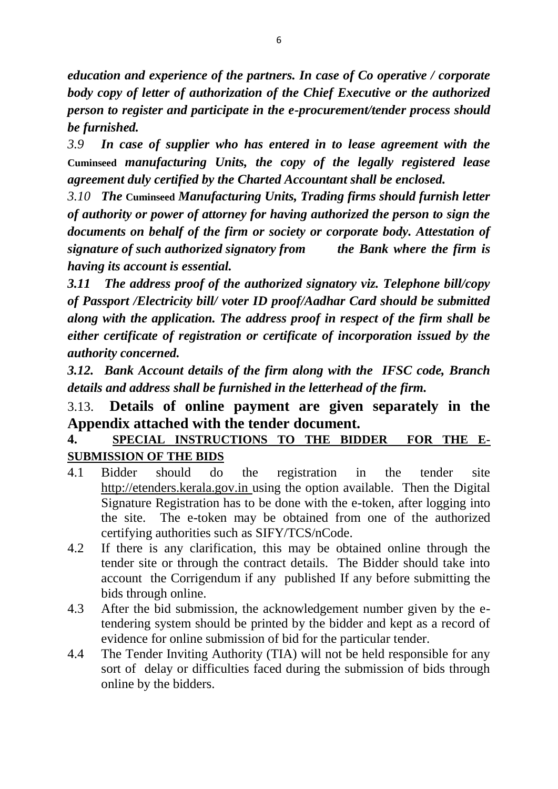*education and experience of the partners. In case of Co operative / corporate body copy of letter of authorization of the Chief Executive or the authorized person to register and participate in the e-procurement/tender process should be furnished.*

*3.9 In case of supplier who has entered in to lease agreement with the*  **Cuminseed** *manufacturing Units, the copy of the legally registered lease agreement duly certified by the Charted Accountant shall be enclosed.*

*3.10 The* **Cuminseed** *Manufacturing Units, Trading firms should furnish letter of authority or power of attorney for having authorized the person to sign the documents on behalf of the firm or society or corporate body. Attestation of signature of such authorized signatory from the Bank where the firm is having its account is essential.*

*3.11 The address proof of the authorized signatory viz. Telephone bill/copy of Passport /Electricity bill/ voter ID proof/Aadhar Card should be submitted along with the application. The address proof in respect of the firm shall be either certificate of registration or certificate of incorporation issued by the authority concerned.*

*3.12. Bank Account details of the firm along with the IFSC code, Branch details and address shall be furnished in the letterhead of the firm.*

# 3.13. **Details of online payment are given separately in the Appendix attached with the tender document.**

## **4. SPECIAL INSTRUCTIONS TO THE BIDDER FOR THE E-SUBMISSION OF THE BIDS**

- 4.1 Bidder should do the registration in the tender site http://etenders.kerala.gov.in using the option available. Then the Digital Signature Registration has to be done with the e-token, after logging into the site. The e-token may be obtained from one of the authorized certifying authorities such as SIFY/TCS/nCode.
- 4.2 If there is any clarification, this may be obtained online through the tender site or through the contract details. The Bidder should take into account the Corrigendum if any published If any before submitting the bids through online.
- 4.3 After the bid submission, the acknowledgement number given by the etendering system should be printed by the bidder and kept as a record of evidence for online submission of bid for the particular tender.
- 4.4 The Tender Inviting Authority (TIA) will not be held responsible for any sort of delay or difficulties faced during the submission of bids through online by the bidders.